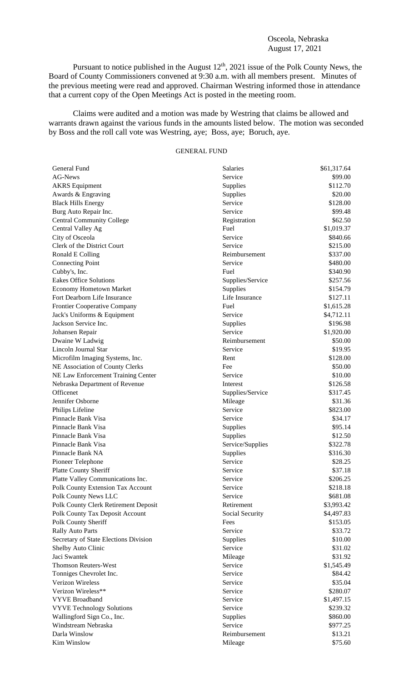## Osceola, Nebraska August 17, 2021

Pursuant to notice published in the August  $12<sup>th</sup>$ , 2021 issue of the Polk County News, the Board of County Commissioners convened at 9:30 a.m. with all members present. Minutes of the previous meeting were read and approved. Chairman Westring informed those in attendance that a current copy of the Open Meetings Act is posted in the meeting room.

Claims were audited and a motion was made by Westring that claims be allowed and warrants drawn against the various funds in the amounts listed below. The motion was seconded by Boss and the roll call vote was Westring, aye; Boss, aye; Boruch, aye.

# GENERAL FUND

| General Fund                           | <b>Salaries</b>    | \$61,317.64 |
|----------------------------------------|--------------------|-------------|
| AG-News                                | Service            | \$99.00     |
| <b>AKRS</b> Equipment                  | Supplies           | \$112.70    |
| Awards & Engraving                     | Supplies           | \$20.00     |
| <b>Black Hills Energy</b>              | Service            | \$128.00    |
| Burg Auto Repair Inc.                  | Service            | \$99.48     |
| <b>Central Community College</b>       | Registration       | \$62.50     |
| Central Valley Ag                      | Fuel               | \$1,019.37  |
| City of Osceola                        | Service            | \$840.66    |
| Clerk of the District Court            | Service            | \$215.00    |
| Ronald E Colling                       | Reimbursement      | \$337.00    |
| <b>Connecting Point</b>                | Service            | \$480.00    |
| Cubby's, Inc.                          | Fuel               | \$340.90    |
| <b>Eakes Office Solutions</b>          | Supplies/Service   | \$257.56    |
| Economy Hometown Market                | Supplies           | \$154.79    |
| Fort Dearborn Life Insurance           | Life Insurance     | \$127.11    |
| <b>Frontier Cooperative Company</b>    | Fuel               | \$1,615.28  |
| Jack's Uniforms & Equipment            | Service            | \$4,712.11  |
| Jackson Service Inc.                   | <b>Supplies</b>    | \$196.98    |
| Johansen Repair                        | Service            | \$1,920.00  |
| Dwaine W Ladwig                        | Reimbursement      | \$50.00     |
| Lincoln Journal Star                   | Service            | \$19.95     |
| Microfilm Imaging Systems, Inc.        | Rent               | \$128.00    |
| NE Association of County Clerks        | Fee                | \$50.00     |
| NE Law Enforcement Training Center     | Service            | \$10.00     |
| Nebraska Department of Revenue         | Interest           | \$126.58    |
| Officenet                              | Supplies/Service   | \$317.45    |
| Jennifer Osborne                       | Mileage            | \$31.36     |
|                                        |                    |             |
| Philips Lifeline<br>Pinnacle Bank Visa | Service<br>Service | \$823.00    |
|                                        |                    | \$34.17     |
| Pinnacle Bank Visa                     | <b>Supplies</b>    | \$95.14     |
| Pinnacle Bank Visa                     | Supplies           | \$12.50     |
| Pinnacle Bank Visa                     | Service/Supplies   | \$322.78    |
| Pinnacle Bank NA                       | Supplies           | \$316.30    |
| Pioneer Telephone                      | Service            | \$28.25     |
| Platte County Sheriff                  | Service            | \$37.18     |
| Platte Valley Communications Inc.      | Service            | \$206.25    |
| Polk County Extension Tax Account      | Service            | \$218.18    |
| Polk County News LLC                   | Service            | \$681.08    |
| Polk County Clerk Retirement Deposit   | Retirement         | \$3,993.42  |
| Polk County Tax Deposit Account        | Social Security    | \$4,497.83  |
| Polk County Sheriff                    | Fees               | \$153.05    |
| <b>Rally Auto Parts</b>                | Service            | \$33.72     |
| Secretary of State Elections Division  | Supplies           | \$10.00     |
| Shelby Auto Clinic                     | Service            | \$31.02     |
| Jaci Swantek                           | Mileage            | \$31.92     |
| <b>Thomson Reuters-West</b>            | Service            | \$1,545.49  |
| Tonniges Chevrolet Inc.                | Service            | \$84.42     |
| Verizon Wireless                       | Service            | \$35.04     |
| Verizon Wireless**                     | Service            | \$280.07    |
| <b>VYVE Broadband</b>                  | Service            | \$1,497.15  |
| <b>VYVE Technology Solutions</b>       | Service            | \$239.32    |
| Wallingford Sign Co., Inc.             | Supplies           | \$860.00    |
| Windstream Nebraska                    | Service            | \$977.25    |
| Darla Winslow                          | Reimbursement      | \$13.21     |
| Kim Winslow                            | Mileage            | \$75.60     |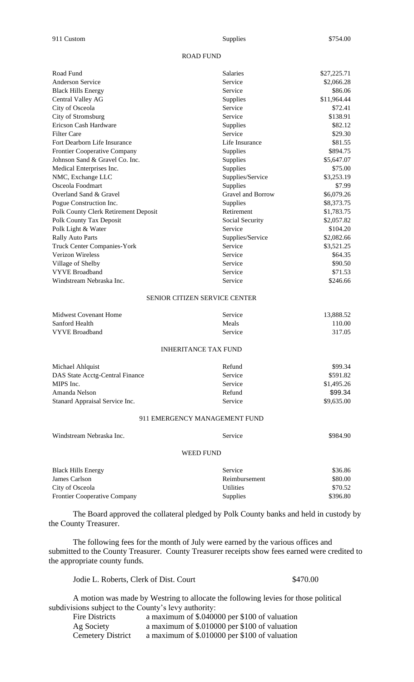## ROAD FUND

| Road Fund                            | <b>Salaries</b>   | \$27,225.71 |
|--------------------------------------|-------------------|-------------|
| <b>Anderson Service</b>              | Service           | \$2,066.28  |
| <b>Black Hills Energy</b>            | Service           | \$86.06     |
| Central Valley AG                    | Supplies          | \$11,964.44 |
| City of Osceola                      | Service           | \$72.41     |
| City of Stromsburg                   | Service           | \$138.91    |
| Ericson Cash Hardware                | Supplies          | \$82.12     |
| <b>Filter Care</b>                   | Service           | \$29.30     |
| Fort Dearborn Life Insurance         | Life Insurance    | \$81.55     |
| <b>Frontier Cooperative Company</b>  | Supplies          | \$894.75    |
| Johnson Sand & Gravel Co. Inc.       | Supplies          | \$5,647.07  |
| Medical Enterprises Inc.             | Supplies          | \$75.00     |
| NMC, Exchange LLC                    | Supplies/Service  | \$3,253.19  |
| Osceola Foodmart                     | Supplies          | \$7.99      |
| Overland Sand & Gravel               | Gravel and Borrow | \$6,079.26  |
| Pogue Construction Inc.              | Supplies          | \$8,373.75  |
| Polk County Clerk Retirement Deposit | Retirement        | \$1,783.75  |
| Polk County Tax Deposit              | Social Security   | \$2,057.82  |
| Polk Light & Water                   | Service           | \$104.20    |
| <b>Rally Auto Parts</b>              | Supplies/Service  | \$2,082.66  |
| <b>Truck Center Companies-York</b>   | Service           | \$3,521.25  |
| Verizon Wireless                     | Service           | \$64.35     |
| Village of Shelby                    | Service           | \$90.50     |
| <b>VYVE Broadband</b>                | Service           | \$71.53     |
| Windstream Nebraska Inc.             | Service           | \$246.66    |

#### SENIOR CITIZEN SERVICE CENTER

| Service                     | 13,888.52  |
|-----------------------------|------------|
| Meals                       | 110.00     |
| Service                     | 317.05     |
| <b>INHERITANCE TAX FUND</b> |            |
| Refund                      | \$99.34    |
| Service                     | \$591.82   |
| Service                     | \$1,495.26 |
| Refund                      | \$99.34    |
| Service                     | \$9,635.00 |
|                             |            |

## 911 EMERGENCY MANAGEMENT FUND

| Windstream Nebraska Inc.  | Service   | \$984.90 |
|---------------------------|-----------|----------|
|                           | WEED FUND |          |
| <b>Black Hills Eneroy</b> | Service   | \$36.86  |

| <b>Black Hills Energy</b>           | Service         | \$36.86  |
|-------------------------------------|-----------------|----------|
| James Carlson                       | Reimbursement   | \$80.00  |
| City of Osceola                     | Utilities       | \$70.52  |
| <b>Frontier Cooperative Company</b> | <b>Supplies</b> | \$396.80 |

The Board approved the collateral pledged by Polk County banks and held in custody by the County Treasurer.

The following fees for the month of July were earned by the various offices and submitted to the County Treasurer. County Treasurer receipts show fees earned were credited to the appropriate county funds.

Jodie L. Roberts, Clerk of Dist. Court \$470.00

A motion was made by Westring to allocate the following levies for those political subdivisions subject to the County's levy authority:

| Fire Districts           | a maximum of \$.040000 per \$100 of valuation |
|--------------------------|-----------------------------------------------|
| Ag Society               | a maximum of \$.010000 per \$100 of valuation |
| <b>Cemetery District</b> | a maximum of \$.010000 per \$100 of valuation |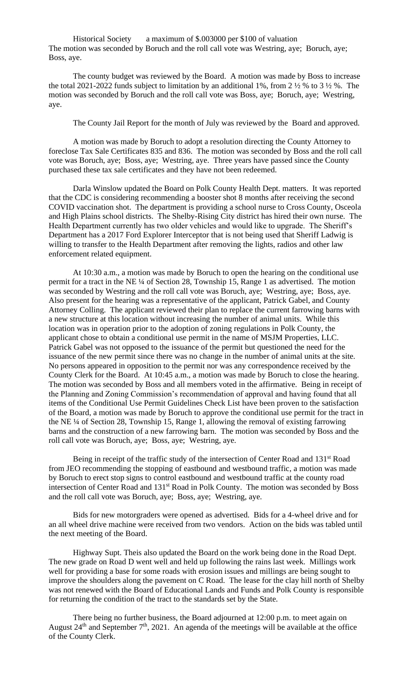Historical Society a maximum of \$.003000 per \$100 of valuation The motion was seconded by Boruch and the roll call vote was Westring, aye; Boruch, aye; Boss, aye.

The county budget was reviewed by the Board. A motion was made by Boss to increase the total 2021-2022 funds subject to limitation by an additional 1%, from 2  $\frac{1}{2}$ % to 3  $\frac{1}{2}$ %. The motion was seconded by Boruch and the roll call vote was Boss, aye; Boruch, aye; Westring, aye.

The County Jail Report for the month of July was reviewed by the Board and approved.

A motion was made by Boruch to adopt a resolution directing the County Attorney to foreclose Tax Sale Certificates 835 and 836. The motion was seconded by Boss and the roll call vote was Boruch, aye; Boss, aye; Westring, aye. Three years have passed since the County purchased these tax sale certificates and they have not been redeemed.

Darla Winslow updated the Board on Polk County Health Dept. matters. It was reported that the CDC is considering recommending a booster shot 8 months after receiving the second COVID vaccination shot. The department is providing a school nurse to Cross County, Osceola and High Plains school districts. The Shelby-Rising City district has hired their own nurse. The Health Department currently has two older vehicles and would like to upgrade. The Sheriff's Department has a 2017 Ford Explorer Interceptor that is not being used that Sheriff Ladwig is willing to transfer to the Health Department after removing the lights, radios and other law enforcement related equipment.

At 10:30 a.m., a motion was made by Boruch to open the hearing on the conditional use permit for a tract in the NE ¼ of Section 28, Township 15, Range 1 as advertised. The motion was seconded by Westring and the roll call vote was Boruch, aye; Westring, aye; Boss, aye. Also present for the hearing was a representative of the applicant, Patrick Gabel, and County Attorney Colling. The applicant reviewed their plan to replace the current farrowing barns with a new structure at this location without increasing the number of animal units. While this location was in operation prior to the adoption of zoning regulations in Polk County, the applicant chose to obtain a conditional use permit in the name of MSJM Properties, LLC. Patrick Gabel was not opposed to the issuance of the permit but questioned the need for the issuance of the new permit since there was no change in the number of animal units at the site. No persons appeared in opposition to the permit nor was any correspondence received by the County Clerk for the Board. At 10:45 a.m., a motion was made by Boruch to close the hearing. The motion was seconded by Boss and all members voted in the affirmative. Being in receipt of the Planning and Zoning Commission's recommendation of approval and having found that all items of the Conditional Use Permit Guidelines Check List have been proven to the satisfaction of the Board, a motion was made by Boruch to approve the conditional use permit for the tract in the NE ¼ of Section 28, Township 15, Range 1, allowing the removal of existing farrowing barns and the construction of a new farrowing barn. The motion was seconded by Boss and the roll call vote was Boruch, aye; Boss, aye; Westring, aye.

Being in receipt of the traffic study of the intersection of Center Road and  $131<sup>st</sup>$  Road from JEO recommending the stopping of eastbound and westbound traffic, a motion was made by Boruch to erect stop signs to control eastbound and westbound traffic at the county road intersection of Center Road and 131<sup>st</sup> Road in Polk County. The motion was seconded by Boss and the roll call vote was Boruch, aye; Boss, aye; Westring, aye.

Bids for new motorgraders were opened as advertised. Bids for a 4-wheel drive and for an all wheel drive machine were received from two vendors. Action on the bids was tabled until the next meeting of the Board.

Highway Supt. Theis also updated the Board on the work being done in the Road Dept. The new grade on Road D went well and held up following the rains last week. Millings work well for providing a base for some roads with erosion issues and millings are being sought to improve the shoulders along the pavement on C Road. The lease for the clay hill north of Shelby was not renewed with the Board of Educational Lands and Funds and Polk County is responsible for returning the condition of the tract to the standards set by the State.

There being no further business, the Board adjourned at 12:00 p.m. to meet again on August  $24<sup>th</sup>$  and September  $7<sup>th</sup>$ , 2021. An agenda of the meetings will be available at the office of the County Clerk.